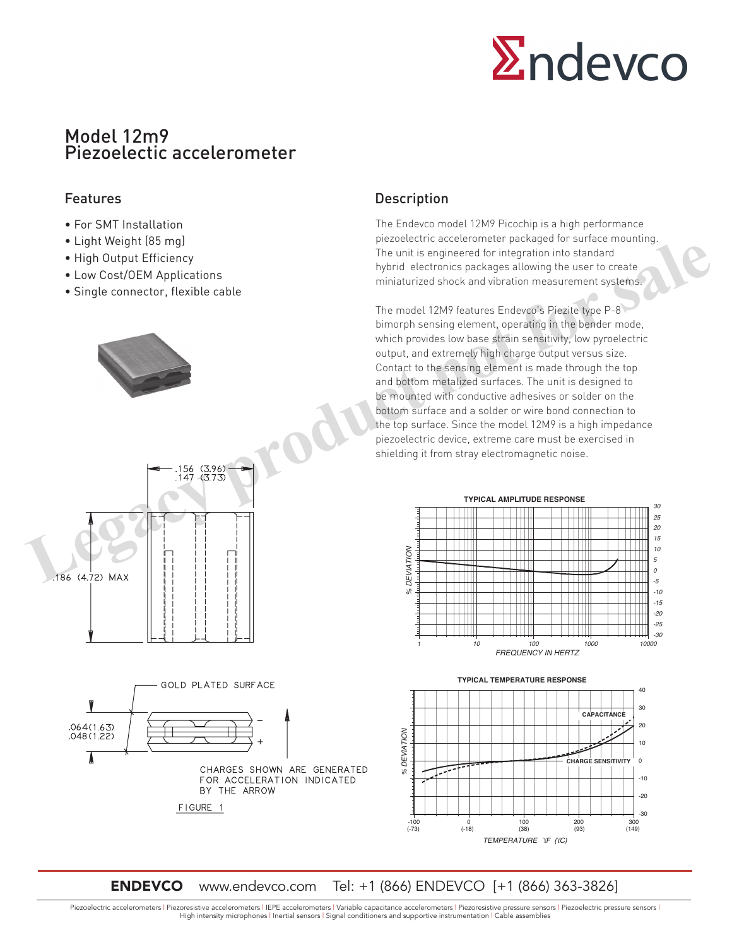

# Model 12m9 Piezoelectic accelerometer

- For SMT Installation
- Light Weight (85 mg)
- High Output Efficiency
- Low Cost/OEM Applications
- Single connector, flexible cable



## Features **Description**

The Endevco model 12M9 Picochip is a high performance piezoelectric accelerometer packaged for surface mounting. The unit is engineered for integration into standard hybrid electronics packages allowing the user to create miniaturized shock and vibration measurement systems.

The model 12M9 features Endevco's Piezite type P-8 bimorph sensing element, operating in the bender mode, which provides low base strain sensitivity, low pyroelectric output, and extremely high charge output versus size. Contact to the sensing element is made through the top and bottom metalized surfaces. The unit is designed to be mounted with conductive adhesives or solder on the bottom surface and a solder or wire bond connection to the top surface. Since the model 12M9 is a high impedance piezoelectric device, extreme care must be exercised in shielding it from stray electromagnetic noise.



**TYPICAL TEMPERATURE RESPONSE**



# **ENDEVCO** www.endevco.com Tel: +1 (866) ENDEVCO [+1 (866) 363-3826]

Piezoelectric accelerometers | Piezoresistive accelerometers | IEPE accelerometers | Variable capacitance accelerometers | Piezoresistive pressure sensors | Piezoelectric pressure sensors | High intensity microphones | Inertial sensors | Signal conditioners and supportive instrumentation | Cable assemblies